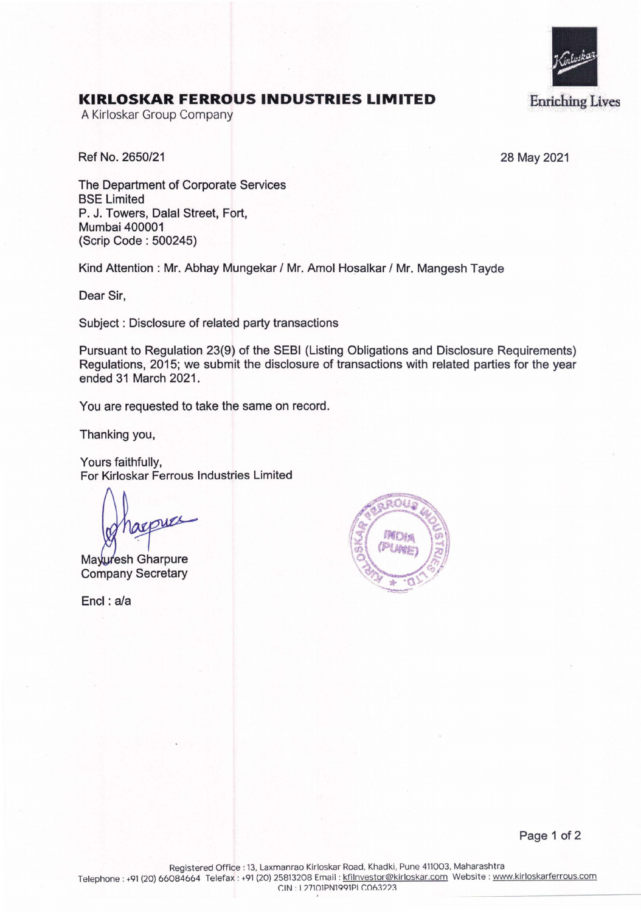

## **KIRLOSKAR FERROUS INDUSTRIES LIMITED**

A Kirloskar Group Company

Ref No. 2650/21 28 May 2021

The Department of Corporate Services BSE Limited P. J. Towers, Dalal Street, Fort, Mumbai 400001 (Scrip Code : 500245)

Kind Attention : Mr. Abhay Mungekar / Mr. Amol Hosalkar / Mr. Mangesh Tayde

Dear Sir,

Subject : Disclosure of related party transactions

Pursuant to Regulation 23(9) of the SEBI (Listing Obligations and Disclosure Requirements) Regulations, 2015; we submit the disclosure of transactions with related parties for the year ended 31 March 2021.

You are requested to take the same on record.

Thanking you,

Yours faithfully, For Kirloskar Ferrous Industries Limited

pues

Mayuresh Gharpure Company Secretary

Encl: a/a